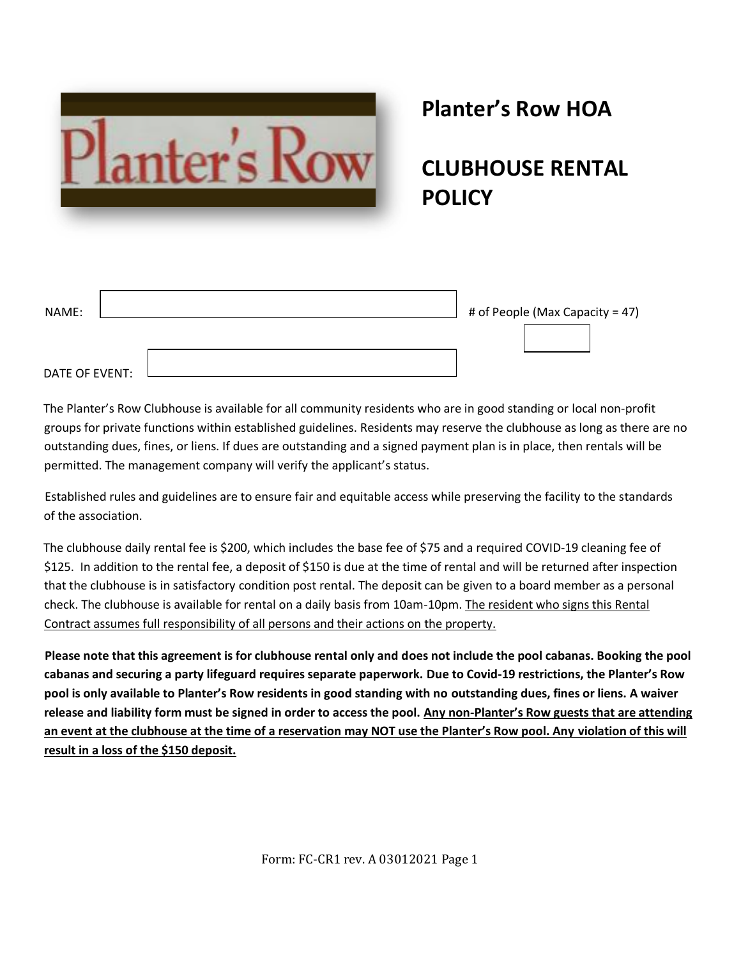

# **Planter's Row HOA**

**CLUBHOUSE RENTAL POLICY**

| NAME:          | # of People (Max Capacity = 47) |
|----------------|---------------------------------|
|                |                                 |
| DATE OF EVENT: |                                 |

The Planter's Row Clubhouse is available for all community residents who are in good standing or local non-profit groups for private functions within established guidelines. Residents may reserve the clubhouse as long as there are no outstanding dues, fines, or liens. If dues are outstanding and a signed payment plan is in place, then rentals will be permitted. The management company will verify the applicant's status.

Established rules and guidelines are to ensure fair and equitable access while preserving the facility to the standards of the association.

The clubhouse daily rental fee is \$200, which includes the base fee of \$75 and a required COVID-19 cleaning fee of \$125. In addition to the rental fee, a deposit of \$150 is due at the time of rental and will be returned after inspection that the clubhouse is in satisfactory condition post rental. The deposit can be given to a board member as a personal check. The clubhouse is available for rental on a daily basis from 10am-10pm. The resident who signs this Rental Contract assumes full responsibility of all persons and their actions on the property.

**Please note that this agreement is for clubhouse rental only and does not include the pool cabanas. Booking the pool cabanas and securing a party lifeguard requires separate paperwork. Due to Covid-19 restrictions, the Planter's Row pool is only available to Planter's Row residents in good standing with no outstanding dues, fines or liens. A waiver release and liability form must be signed in order to access the pool. Any non-Planter's Row guests that are attending an event at the clubhouse at the time of a reservation may NOT use the Planter's Row pool. Any violation of this will result in a loss of the \$150 deposit.** 

Form: FC-CR1 rev. A 03012021 Page 1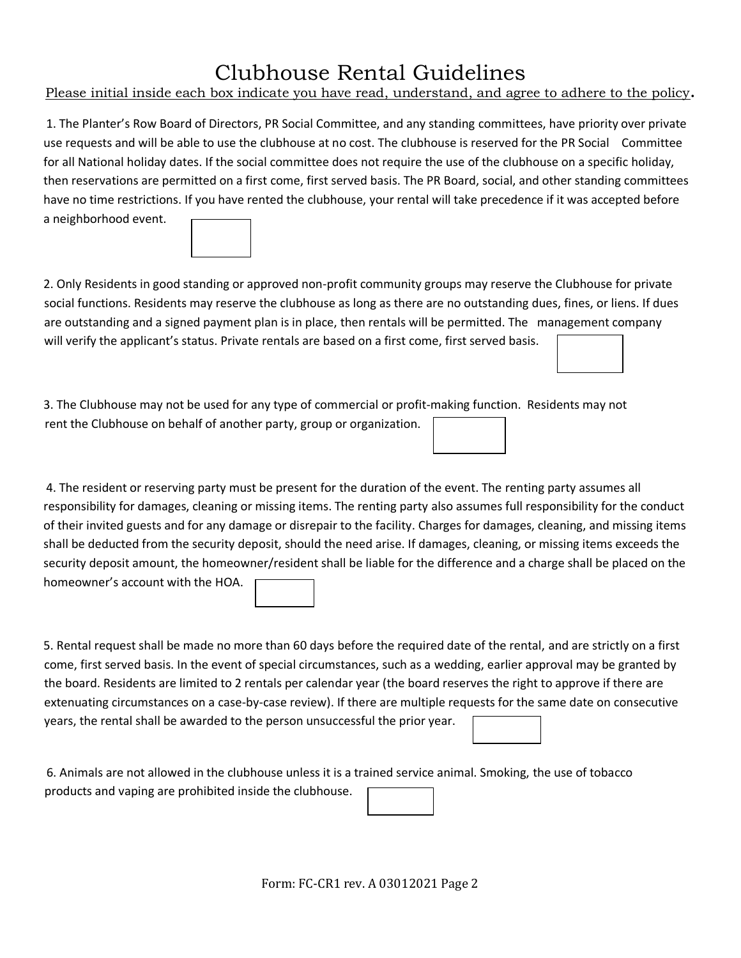## Clubhouse Rental Guidelines

Please initial inside each box indicate you have read, understand, and agree to adhere to the policy**.** 

1. The Planter's Row Board of Directors, PR Social Committee, and any standing committees, have priority over private use requests and will be able to use the clubhouse at no cost. The clubhouse is reserved for the PR Social Committee for all National holiday dates. If the social committee does not require the use of the clubhouse on a specific holiday, then reservations are permitted on a first come, first served basis. The PR Board, social, and other standing committees have no time restrictions. If you have rented the clubhouse, your rental will take precedence if it was accepted before a neighborhood event.

2. Only Residents in good standing or approved non-profit community groups may reserve the Clubhouse for private social functions. Residents may reserve the clubhouse as long as there are no outstanding dues, fines, or liens. If dues are outstanding and a signed payment plan is in place, then rentals will be permitted. The management company will verify the applicant's status. Private rentals are based on a first come, first served basis.

3. The Clubhouse may not be used for any type of commercial or profit-making function. Residents may not rent the Clubhouse on behalf of another party, group or organization.

4. The resident or reserving party must be present for the duration of the event. The renting party assumes all responsibility for damages, cleaning or missing items. The renting party also assumes full responsibility for the conduct of their invited guests and for any damage or disrepair to the facility. Charges for damages, cleaning, and missing items shall be deducted from the security deposit, should the need arise. If damages, cleaning, or missing items exceeds the security deposit amount, the homeowner/resident shall be liable for the difference and a charge shall be placed on the homeowner's account with the HOA.

5. Rental request shall be made no more than 60 days before the required date of the rental, and are strictly on a first come, first served basis. In the event of special circumstances, such as a wedding, earlier approval may be granted by the board. Residents are limited to 2 rentals per calendar year (the board reserves the right to approve if there are extenuating circumstances on a case-by-case review). If there are multiple requests for the same date on consecutive years, the rental shall be awarded to the person unsuccessful the prior year.

6. Animals are not allowed in the clubhouse unless it is a trained service animal. Smoking, the use of tobacco products and vaping are prohibited inside the clubhouse.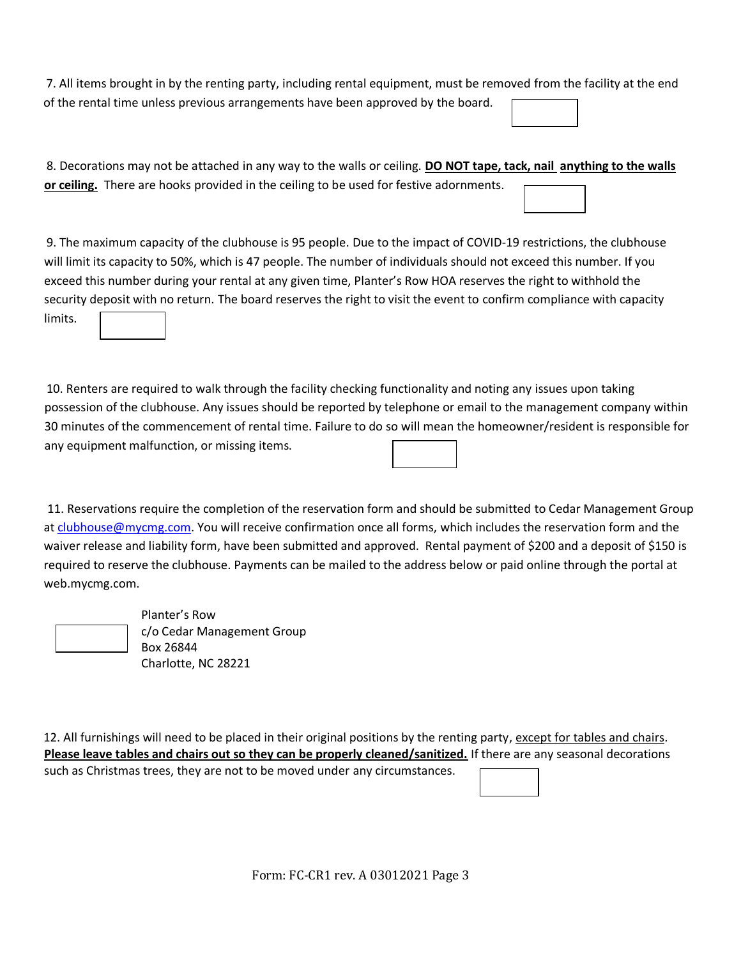7. All items brought in by the renting party, including rental equipment, must be removed from the facility at the end of the rental time unless previous arrangements have been approved by the board.

| 8. Decorations may not be attached in any way to the walls or ceiling. DO NOT tape, tack, nail anything to the walls |  |
|----------------------------------------------------------------------------------------------------------------------|--|
| or ceiling. There are hooks provided in the ceiling to be used for festive adornments.                               |  |

9. The maximum capacity of the clubhouse is 95 people. Due to the impact of COVID-19 restrictions, the clubhouse will limit its capacity to 50%, which is 47 people. The number of individuals should not exceed this number. If you exceed this number during your rental at any given time, Planter's Row HOA reserves the right to withhold the security deposit with no return. The board reserves the right to visit the event to confirm compliance with capacity limits.

10. Renters are required to walk through the facility checking functionality and noting any issues upon taking possession of the clubhouse. Any issues should be reported by telephone or email to the management company within 30 minutes of the commencement of rental time. Failure to do so will mean the homeowner/resident is responsible for any equipment malfunction, or missing items.

11. Reservations require the completion of the reservation form and should be submitted to Cedar Management Group a[t clubhouse@mycmg.com.](mailto:clubhouse@mycmg.com) You will receive confirmation once all forms, which includes the reservation form and the waiver release and liability form, have been submitted and approved. Rental payment of \$200 and a deposit of \$150 is required to reserve the clubhouse. Payments can be mailed to the address below or paid online through the portal at web.mycmg.com.

Planter's Row c/o Cedar Management Group Box 26844 Charlotte, NC 28221

12. All furnishings will need to be placed in their original positions by the renting party, except for tables and chairs. **Please leave tables and chairs out so they can be properly cleaned/sanitized.** If there are any seasonal decorations such as Christmas trees, they are not to be moved under any circumstances.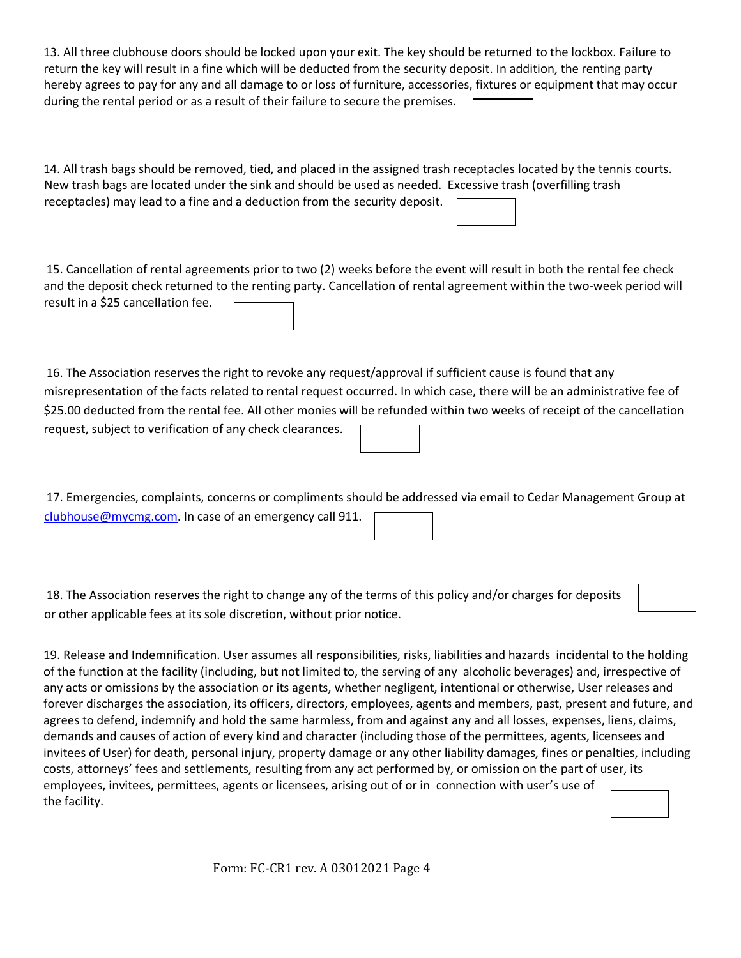| 13. All three clubhouse doors should be locked upon your exit. The key should be returned to the lockbox. Failure to<br>return the key will result in a fine which will be deducted from the security deposit. In addition, the renting party<br>hereby agrees to pay for any and all damage to or loss of furniture, accessories, fixtures or equipment that may occur<br>during the rental period or as a result of their failure to secure the premises.                                                                                                                                                                                                                                                                                                                                                                                                                                                                                                                                                                                                                                                                                         |
|-----------------------------------------------------------------------------------------------------------------------------------------------------------------------------------------------------------------------------------------------------------------------------------------------------------------------------------------------------------------------------------------------------------------------------------------------------------------------------------------------------------------------------------------------------------------------------------------------------------------------------------------------------------------------------------------------------------------------------------------------------------------------------------------------------------------------------------------------------------------------------------------------------------------------------------------------------------------------------------------------------------------------------------------------------------------------------------------------------------------------------------------------------|
| 14. All trash bags should be removed, tied, and placed in the assigned trash receptacles located by the tennis courts.<br>New trash bags are located under the sink and should be used as needed. Excessive trash (overfilling trash<br>receptacles) may lead to a fine and a deduction from the security deposit.                                                                                                                                                                                                                                                                                                                                                                                                                                                                                                                                                                                                                                                                                                                                                                                                                                  |
| 15. Cancellation of rental agreements prior to two (2) weeks before the event will result in both the rental fee check<br>and the deposit check returned to the renting party. Cancellation of rental agreement within the two-week period will<br>result in a \$25 cancellation fee.                                                                                                                                                                                                                                                                                                                                                                                                                                                                                                                                                                                                                                                                                                                                                                                                                                                               |
| 16. The Association reserves the right to revoke any request/approval if sufficient cause is found that any<br>misrepresentation of the facts related to rental request occurred. In which case, there will be an administrative fee of<br>\$25.00 deducted from the rental fee. All other monies will be refunded within two weeks of receipt of the cancellation<br>request, subject to verification of any check clearances.                                                                                                                                                                                                                                                                                                                                                                                                                                                                                                                                                                                                                                                                                                                     |
| 17. Emergencies, complaints, concerns or compliments should be addressed via email to Cedar Management Group at<br>clubhouse@mycmg.com. In case of an emergency call 911.                                                                                                                                                                                                                                                                                                                                                                                                                                                                                                                                                                                                                                                                                                                                                                                                                                                                                                                                                                           |
| 18. The Association reserves the right to change any of the terms of this policy and/or charges for deposits<br>or other applicable fees at its sole discretion, without prior notice.                                                                                                                                                                                                                                                                                                                                                                                                                                                                                                                                                                                                                                                                                                                                                                                                                                                                                                                                                              |
| 19. Release and Indemnification. User assumes all responsibilities, risks, liabilities and hazards incidental to the holding<br>of the function at the facility (including, but not limited to, the serving of any alcoholic beverages) and, irrespective of<br>any acts or omissions by the association or its agents, whether negligent, intentional or otherwise, User releases and<br>forever discharges the association, its officers, directors, employees, agents and members, past, present and future, and<br>agrees to defend, indemnify and hold the same harmless, from and against any and all losses, expenses, liens, claims,<br>demands and causes of action of every kind and character (including those of the permittees, agents, licensees and<br>invitees of User) for death, personal injury, property damage or any other liability damages, fines or penalties, including<br>costs, attorneys' fees and settlements, resulting from any act performed by, or omission on the part of user, its<br>employees, invitees, permittees, agents or licensees, arising out of or in connection with user's use of<br>the facility. |

Form: FC-CR1 rev. A 03012021 Page 4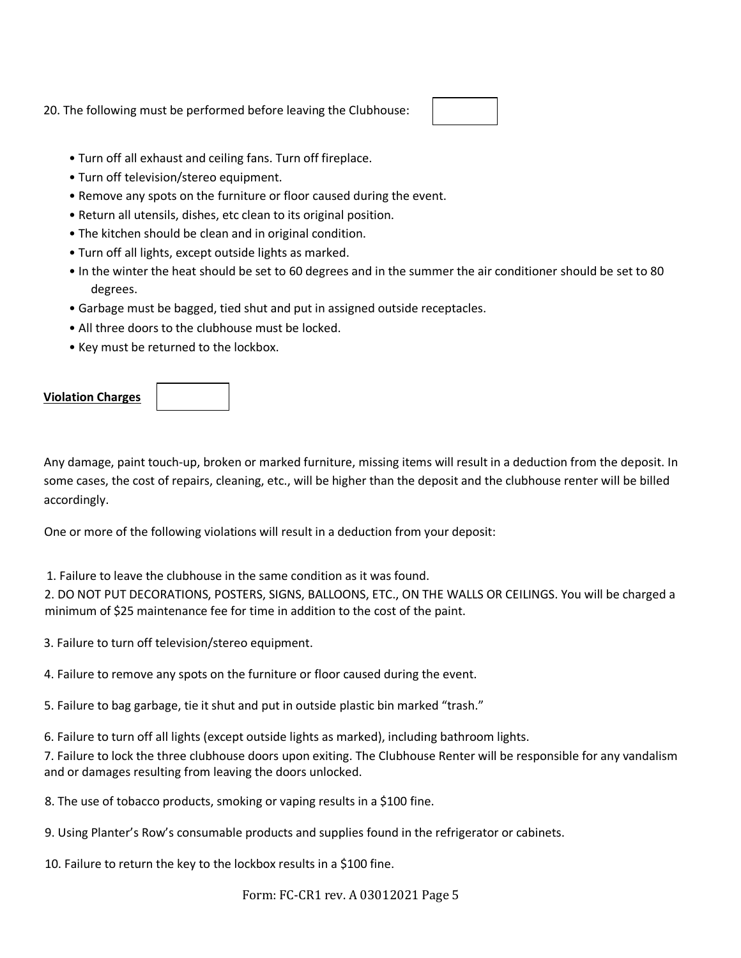20. The following must be performed before leaving the Clubhouse:

- Turn off all exhaust and ceiling fans. Turn off fireplace.
- Turn off television/stereo equipment.
- Remove any spots on the furniture or floor caused during the event.
- Return all utensils, dishes, etc clean to its original position.
- The kitchen should be clean and in original condition.
- Turn off all lights, except outside lights as marked.
- In the winter the heat should be set to 60 degrees and in the summer the air conditioner should be set to 80 degrees.
- Garbage must be bagged, tied shut and put in assigned outside receptacles.
- All three doors to the clubhouse must be locked.
- Key must be returned to the lockbox.

## **Violation Charges**



Any damage, paint touch-up, broken or marked furniture, missing items will result in a deduction from the deposit. In some cases, the cost of repairs, cleaning, etc., will be higher than the deposit and the clubhouse renter will be billed accordingly.

One or more of the following violations will result in a deduction from your deposit:

1. Failure to leave the clubhouse in the same condition as it was found.

2. DO NOT PUT DECORATIONS, POSTERS, SIGNS, BALLOONS, ETC., ON THE WALLS OR CEILINGS. You will be charged a minimum of \$25 maintenance fee for time in addition to the cost of the paint.

3. Failure to turn off television/stereo equipment.

4. Failure to remove any spots on the furniture or floor caused during the event.

5. Failure to bag garbage, tie it shut and put in outside plastic bin marked "trash."

6. Failure to turn off all lights (except outside lights as marked), including bathroom lights.

7. Failure to lock the three clubhouse doors upon exiting. The Clubhouse Renter will be responsible for any vandalism and or damages resulting from leaving the doors unlocked.

8. The use of tobacco products, smoking or vaping results in a \$100 fine.

9. Using Planter's Row's consumable products and supplies found in the refrigerator or cabinets.

10. Failure to return the key to the lockbox results in a \$100 fine.